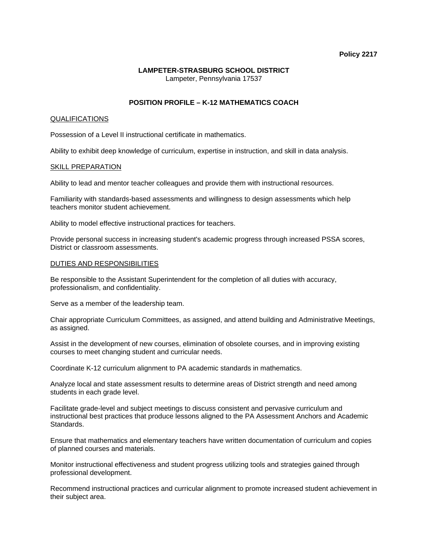## **Policy 2217**

## **LAMPETER-STRASBURG SCHOOL DISTRICT**  Lampeter, Pennsylvania 17537

# **POSITION PROFILE – K-12 MATHEMATICS COACH**

## QUALIFICATIONS

Possession of a Level II instructional certificate in mathematics.

Ability to exhibit deep knowledge of curriculum, expertise in instruction, and skill in data analysis.

## SKILL PREPARATION

Ability to lead and mentor teacher colleagues and provide them with instructional resources.

Familiarity with standards-based assessments and willingness to design assessments which help teachers monitor student achievement.

Ability to model effective instructional practices for teachers.

Provide personal success in increasing student's academic progress through increased PSSA scores, District or classroom assessments.

## DUTIES AND RESPONSIBILITIES

Be responsible to the Assistant Superintendent for the completion of all duties with accuracy, professionalism, and confidentiality.

Serve as a member of the leadership team.

Chair appropriate Curriculum Committees, as assigned, and attend building and Administrative Meetings, as assigned.

Assist in the development of new courses, elimination of obsolete courses, and in improving existing courses to meet changing student and curricular needs.

Coordinate K-12 curriculum alignment to PA academic standards in mathematics.

Analyze local and state assessment results to determine areas of District strength and need among students in each grade level.

Facilitate grade-level and subject meetings to discuss consistent and pervasive curriculum and instructional best practices that produce lessons aligned to the PA Assessment Anchors and Academic Standards.

Ensure that mathematics and elementary teachers have written documentation of curriculum and copies of planned courses and materials.

Monitor instructional effectiveness and student progress utilizing tools and strategies gained through professional development.

Recommend instructional practices and curricular alignment to promote increased student achievement in their subject area.